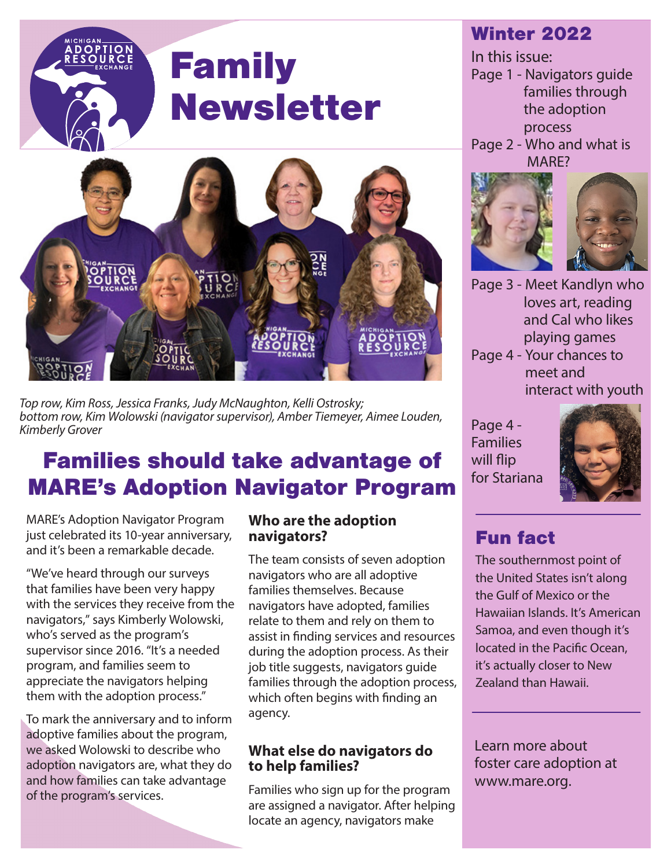# Family Newsletter



*Top row, Kim Ross, Jessica Franks, Judy McNaughton, Kelli Ostrosky; bottom row, Kim Wolowski (navigator supervisor), Amber Tiemeyer, Aimee Louden, Kimberly Grover*

## Families should take advantage of MARE's Adoption Navigator Program

MARE's Adoption Navigator Program just celebrated its 10-year anniversary, and it's been a remarkable decade.

"We've heard through our surveys that families have been very happy with the services they receive from the navigators," says Kimberly Wolowski, who's served as the program's supervisor since 2016. "It's a needed program, and families seem to appreciate the navigators helping them with the adoption process."

To mark the anniversary and to inform adoptive families about the program, we asked Wolowski to describe who adoption navigators are, what they do and how families can take advantage of the program's services.

#### **Who are the adoption navigators?**

The team consists of seven adoption navigators who are all adoptive families themselves. Because navigators have adopted, families relate to them and rely on them to assist in finding services and resources during the adoption process. As their job title suggests, navigators guide families through the adoption process, which often begins with finding an agency.

### **What else do navigators do to help families?**

Families who sign up for the program are assigned a navigator. After helping locate an agency, navigators make

### Winter 2022

- In this issue: Page 1 - Navigators guide families through the adoption process
- Page 2 Who and what is MARE?



Page 3 - Meet Kandlyn who loves art, reading and Cal who likes playing games

Page 4 - Your chances to meet and interact with youth

Page 4 - Families will flip for Stariana



## Fun fact

The southernmost point of the United States isn't along the Gulf of Mexico or the Hawaiian Islands. It's American Samoa, and even though it's located in the Pacific Ocean, it's actually closer to New Zealand than Hawaii.

Learn more about foster care adoption at www.mare.org.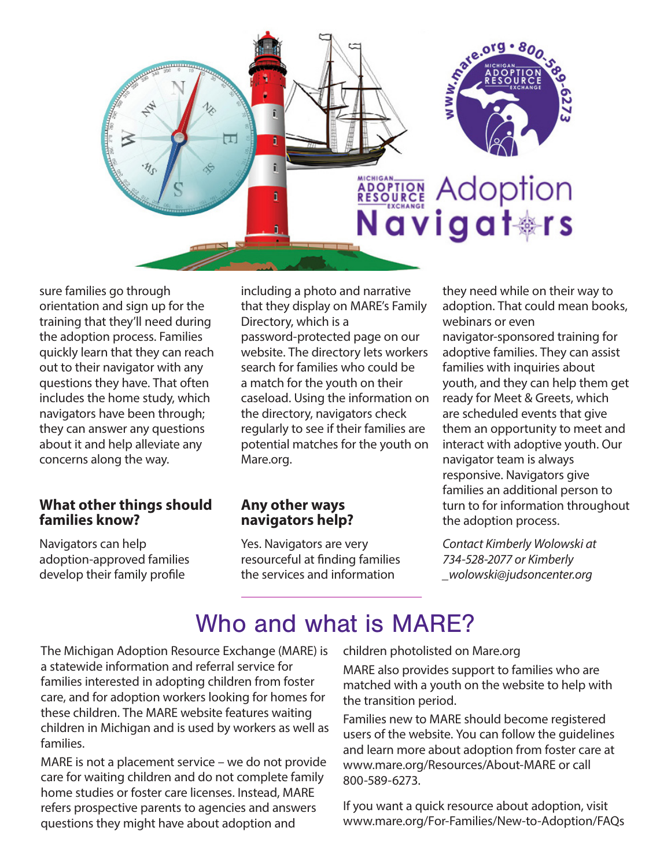

sure families go through orientation and sign up for the training that they'll need during the adoption process. Families quickly learn that they can reach out to their navigator with any questions they have. That often includes the home study, which navigators have been through; they can answer any questions about it and help alleviate any concerns along the way.

#### **What other things should families know?**

Navigators can help adoption-approved families develop their family profile

including a photo and narrative that they display on MARE's Family Directory, which is a password-protected page on our website. The directory lets workers search for families who could be a match for the youth on their caseload. Using the information on the directory, navigators check regularly to see if their families are potential matches for the youth on Mare.org.

#### **Any other ways navigators help?**

Yes. Navigators are very resourceful at finding families the services and information

they need while on their way to adoption. That could mean books, webinars or even navigator-sponsored training for adoptive families. They can assist families with inquiries about youth, and they can help them get ready for Meet & Greets, which are scheduled events that give them an opportunity to meet and interact with adoptive youth. Our navigator team is always responsive. Navigators give families an additional person to turn to for information throughout the adoption process.

*Contact Kimberly Wolowski at 734-528-2077 or Kimberly \_wolowski@judsoncenter.org*

## Who and what is MARF?

The Michigan Adoption Resource Exchange (MARE) is a statewide information and referral service for families interested in adopting children from foster care, and for adoption workers looking for homes for these children. The MARE website features waiting children in Michigan and is used by workers as well as families.

MARE is not a placement service – we do not provide care for waiting children and do not complete family home studies or foster care licenses. Instead, MARE refers prospective parents to agencies and answers questions they might have about adoption and

children photolisted on Mare.org

MARE also provides support to families who are matched with a youth on the website to help with the transition period.

Families new to MARE should become registered users of the website. You can follow the guidelines and learn more about adoption from foster care at www.mare.org/Resources/About-MARE or call 800-589-6273.

If you want a quick resource about adoption, visit www.mare.org/For-Families/New-to-Adoption/FAQs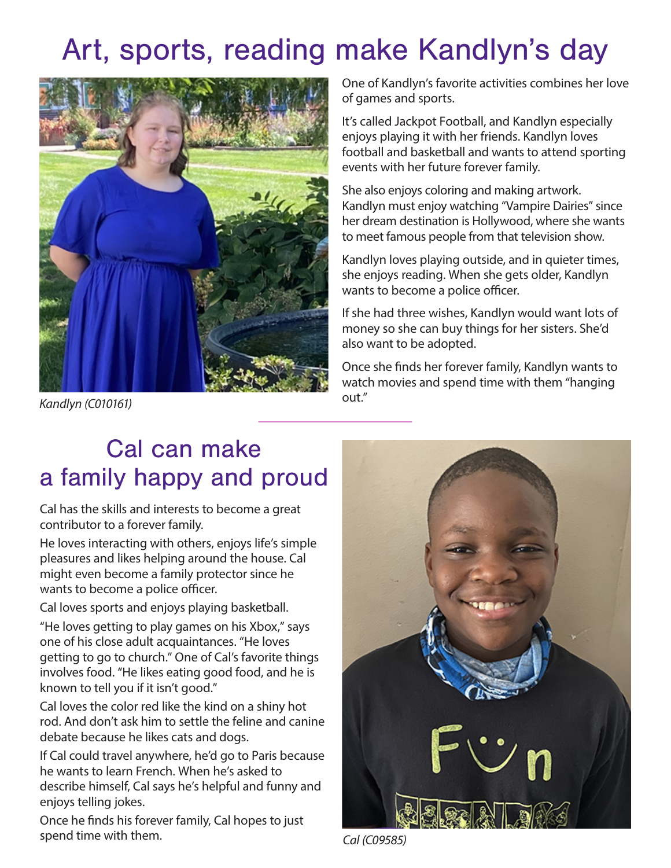## Art, sports, reading make Kandlyn's day



*Kandlyn (C010161)*

One of Kandlyn's favorite activities combines her love of games and sports.

It's called Jackpot Football, and Kandlyn especially enjoys playing it with her friends. Kandlyn loves football and basketball and wants to attend sporting events with her future forever family.

She also enjoys coloring and making artwork. Kandlyn must enjoy watching "Vampire Dairies" since her dream destination is Hollywood, where she wants to meet famous people from that television show.

Kandlyn loves playing outside, and in quieter times, she enjoys reading. When she gets older, Kandlyn wants to become a police officer.

If she had three wishes, Kandlyn would want lots of money so she can buy things for her sisters. She'd also want to be adopted.

Once she finds her forever family, Kandlyn wants to watch movies and spend time with them "hanging out."

## Cal can make a family happy and proud

Cal has the skills and interests to become a great contributor to a forever family.

He loves interacting with others, enjoys life's simple pleasures and likes helping around the house. Cal might even become a family protector since he wants to become a police officer.

Cal loves sports and enjoys playing basketball.

"He loves getting to play games on his Xbox," says one of his close adult acquaintances. "He loves getting to go to church." One of Cal's favorite things involves food. "He likes eating good food, and he is known to tell you if it isn't good."

Cal loves the color red like the kind on a shiny hot rod. And don't ask him to settle the feline and canine debate because he likes cats and dogs.

If Cal could travel anywhere, he'd go to Paris because he wants to learn French. When he's asked to describe himself, Cal says he's helpful and funny and enjoys telling jokes.

Once he finds his forever family, Cal hopes to just spend time with them.



*Cal (C09585)*